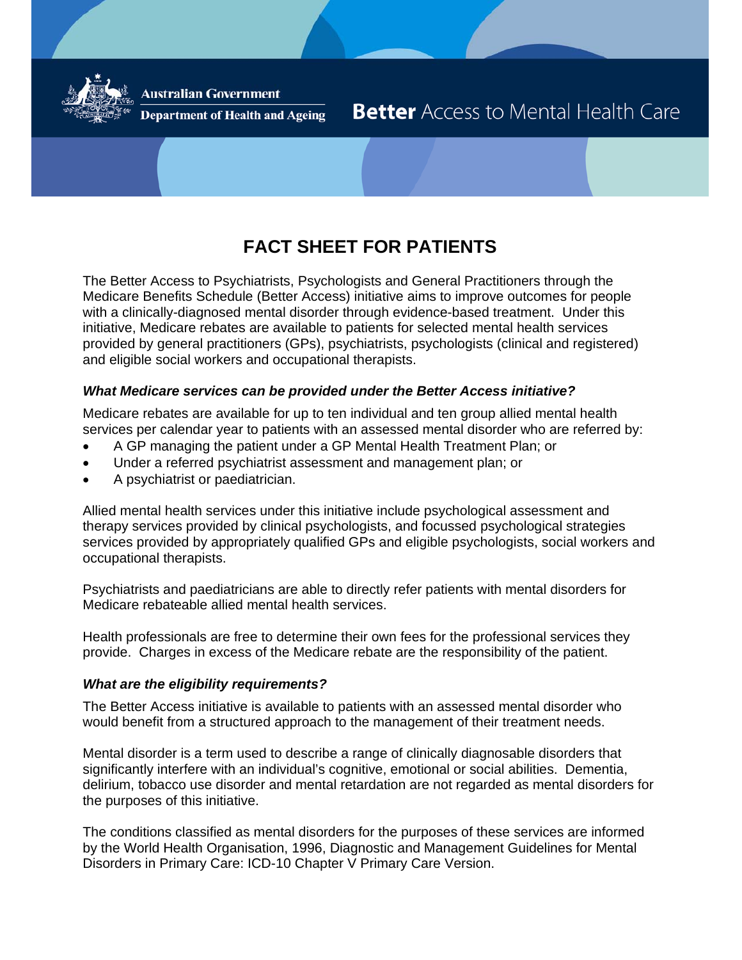

**Australian Government** 

**Department of Health and Ageing** 

# **Better** Access to Mental Health Care

## **FACT SHEET FOR PATIENTS**

The Better Access to Psychiatrists, Psychologists and General Practitioners through the Medicare Benefits Schedule (Better Access) initiative aims to improve outcomes for people with a clinically-diagnosed mental disorder through evidence-based treatment. Under this initiative, Medicare rebates are available to patients for selected mental health services provided by general practitioners (GPs), psychiatrists, psychologists (clinical and registered) and eligible social workers and occupational therapists.

#### *What Medicare services can be provided under the Better Access initiative?*

Medicare rebates are available for up to ten individual and ten group allied mental health services per calendar year to patients with an assessed mental disorder who are referred by:

- A GP managing the patient under a GP Mental Health Treatment Plan; or
- Under a referred psychiatrist assessment and management plan; or
- A psychiatrist or paediatrician.

Allied mental health services under this initiative include psychological assessment and therapy services provided by clinical psychologists, and focussed psychological strategies services provided by appropriately qualified GPs and eligible psychologists, social workers and occupational therapists.

Psychiatrists and paediatricians are able to directly refer patients with mental disorders for Medicare rebateable allied mental health services.

Health professionals are free to determine their own fees for the professional services they provide. Charges in excess of the Medicare rebate are the responsibility of the patient.

#### *What are the eligibility requirements?*

The Better Access initiative is available to patients with an assessed mental disorder who would benefit from a structured approach to the management of their treatment needs.

Mental disorder is a term used to describe a range of clinically diagnosable disorders that significantly interfere with an individual's cognitive, emotional or social abilities. Dementia, delirium, tobacco use disorder and mental retardation are not regarded as mental disorders for the purposes of this initiative.

The conditions classified as mental disorders for the purposes of these services are informed by the World Health Organisation, 1996, Diagnostic and Management Guidelines for Mental Disorders in Primary Care: ICD-10 Chapter V Primary Care Version.